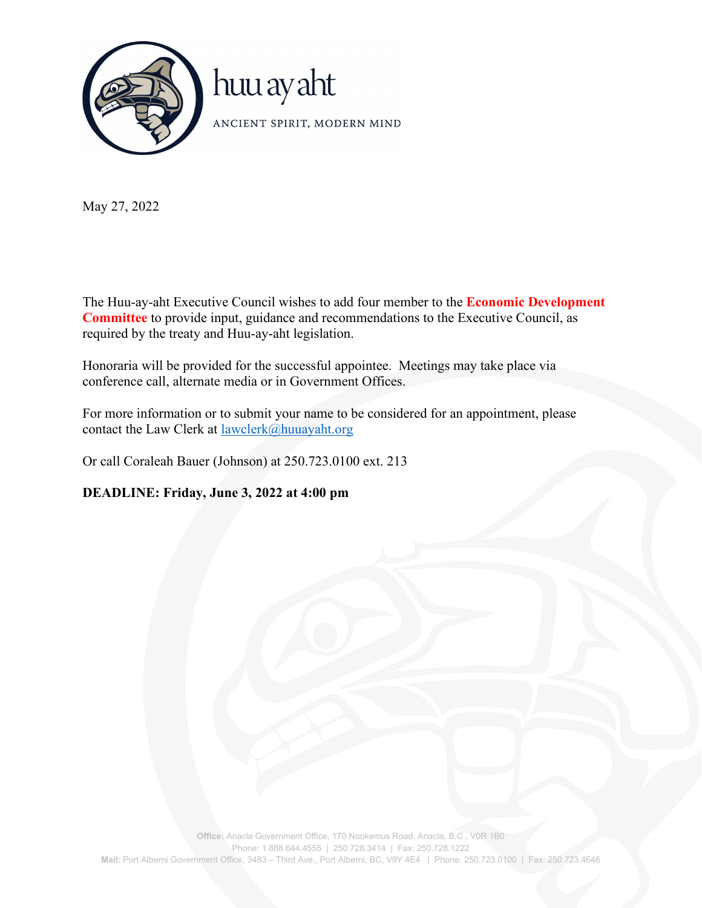

May 27, 2022

The Huu-ay-aht Executive Council wishes to add four member to the **Economic Development Committee** to provide input, guidance and recommendations to the Executive Council, as required by the treaty and Huu-ay-aht legislation.

Honoraria will be provided for the successful appointee. Meetings may take place via conference call, alternate media or in Government Offices.

For more information or to submit your name to be considered for an appointment, please contact the Law Clerk at [lawclerk@huuayaht.org](mailto:lawclerk@huuayaht.org)

Or call Coraleah Bauer (Johnson) at 250.723.0100 ext. 213

**DEADLINE: Friday, June 3, 2022 at 4:00 pm**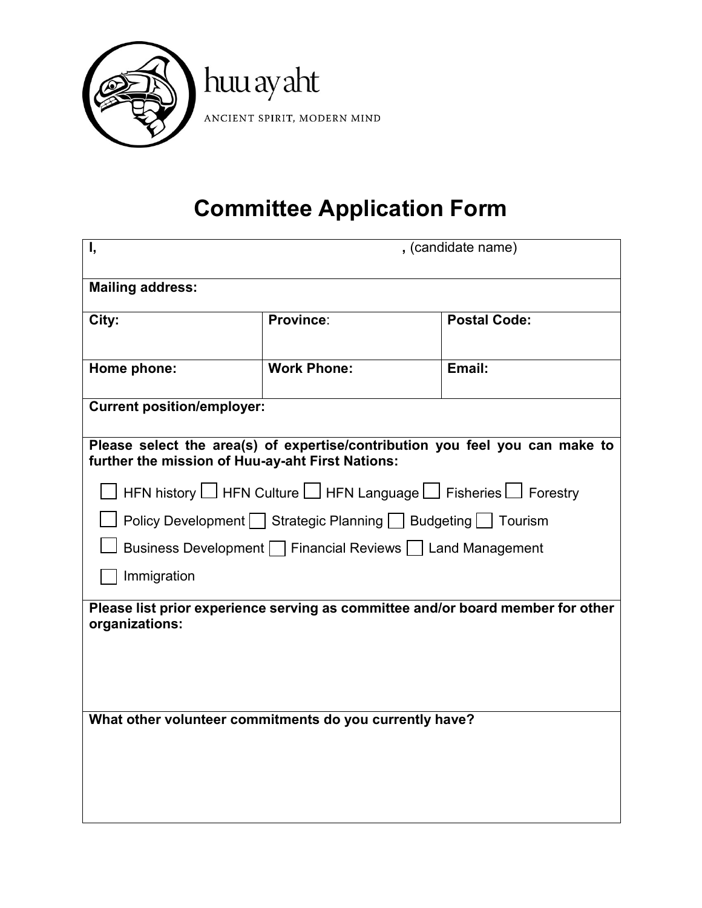

## **Committee Application Form**

| Ι,                                                                                                                               |                    | , (candidate name)                                                              |
|----------------------------------------------------------------------------------------------------------------------------------|--------------------|---------------------------------------------------------------------------------|
| <b>Mailing address:</b>                                                                                                          |                    |                                                                                 |
| City:                                                                                                                            | Province:          | <b>Postal Code:</b>                                                             |
| Home phone:                                                                                                                      | <b>Work Phone:</b> | Email:                                                                          |
| <b>Current position/employer:</b>                                                                                                |                    |                                                                                 |
| Please select the area(s) of expertise/contribution you feel you can make to<br>further the mission of Huu-ay-aht First Nations: |                    |                                                                                 |
| HFN history $\Box$ HFN Culture $\Box$ HFN Language $\Box$ Fisheries $\Box$ Forestry                                              |                    |                                                                                 |
|                                                                                                                                  |                    | Policy Development Strategic Planning Budgeting   Tourism                       |
|                                                                                                                                  |                    | Business Development   Financial Reviews   Land Management                      |
| Immigration                                                                                                                      |                    |                                                                                 |
| organizations:                                                                                                                   |                    | Please list prior experience serving as committee and/or board member for other |
|                                                                                                                                  |                    |                                                                                 |
| What other volunteer commitments do you currently have?                                                                          |                    |                                                                                 |
|                                                                                                                                  |                    |                                                                                 |
|                                                                                                                                  |                    |                                                                                 |
|                                                                                                                                  |                    |                                                                                 |